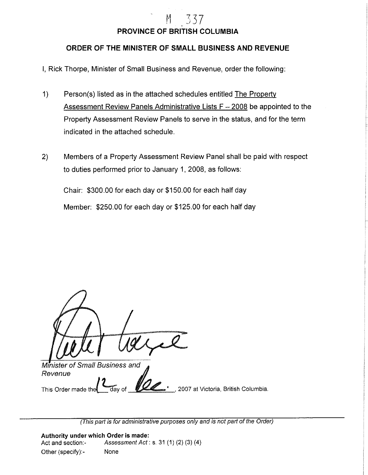## **PROVINCE OF BRITISH COLUMBIA**

M 337

## **ORDER OF THE MINISTER OF SMALL BUSINESS AND REVENUE**

I, Rick Thorpe, Minister of Small Business and Revenue, order the following:

- 1) Person(s) listed as in the attached schedules entitled The Property Assessment Review Panels Administrative Lists  $F - 2008$  be appointed to the Property Assessment Review Panels to serve in the status, and for the term indicated in the attached schedule.
- 2) Members of a Property Assessment Review Panel shall be paid with respect to duties performed prior to January 1, 2008, as follows:

Chair: \$300.00 for each day or \$150.00 for each half day Member: \$250.00 for each day or \$125.00 for each half day

Minister of Small Business and Revenue This Order made the day of **VII in the state of the Columbia.** 

(This part is for administrative purposes only and is not part of the Order)

**Authority under which Order is made:**  Act and section: Assessment Act: s. 31 (1) (2) (3) (4) Other (specify):- None